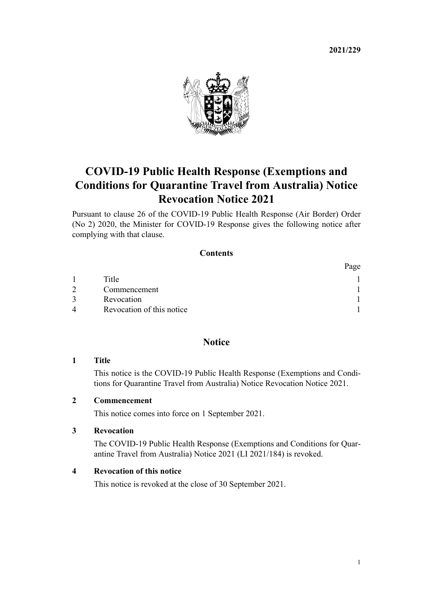**2021/229**



# **COVID-19 Public Health Response (Exemptions and Conditions for Quarantine Travel from Australia) Notice Revocation Notice 2021**

Pursuant to [clause 26](http://legislation.govt.nz/pdflink.aspx?id=LMS439193) of the [COVID-19 Public Health Response \(Air Border\) Order](http://legislation.govt.nz/pdflink.aspx?id=LMS403345) [\(No 2\) 2020,](http://legislation.govt.nz/pdflink.aspx?id=LMS403345) the Minister for COVID-19 Response gives the following notice after complying with that clause.

## **Contents**

|   |                           | Page |
|---|---------------------------|------|
|   | Title                     |      |
|   | Commencement              |      |
|   | Revocation                |      |
| 4 | Revocation of this notice |      |

# **Notice**

#### **1 Title**

This notice is the COVID-19 Public Health Response (Exemptions and Condi‐ tions for Quarantine Travel from Australia) Notice Revocation Notice 2021.

### **2 Commencement**

This notice comes into force on 1 September 2021.

# **3 Revocation**

The [COVID-19 Public Health Response \(Exemptions and Conditions for Quar‐](http://legislation.govt.nz/pdflink.aspx?id=LMS522117) [antine Travel from Australia\) Notice 2021](http://legislation.govt.nz/pdflink.aspx?id=LMS522117) (LI 2021/184) is revoked.

#### **4 Revocation of this notice**

This notice is revoked at the close of 30 September 2021.